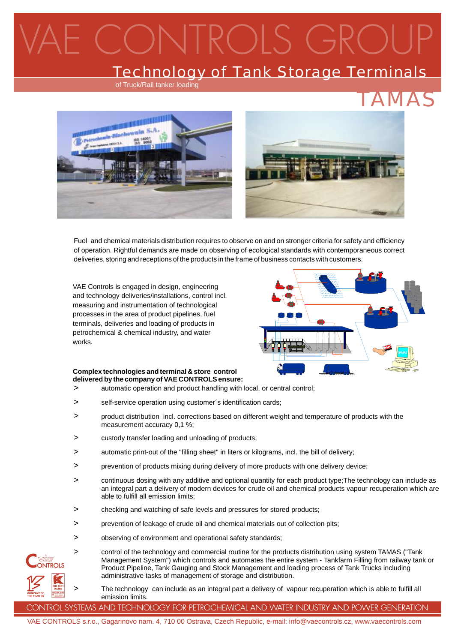# $R()$  S G

#### Technology of Tank Storage Terminals

of Truck/Rail tanker loading



Fuel and chemical materials distribution requires to observe on and on stronger criteria for safety and efficiency of operation. Rightful demands are made on observing of ecological standards with contemporaneous correct deliveries, storing and receptions of the products in the frame of business contacts with customers.

VAE Controls is engaged in design, engineering and technology deliveries/installations, control incl. measuring and instrumentation of technological processes in the area of product pipelines, fuel terminals, deliveries and loading of products in petrochemical & chemical industry, and water works.



#### **Complex technologies and terminal & store control delivered by the company of VAE CONTROLSensure:**

- > automatic operation and product handling with local, or central control;
- > self-service operation using customer's identification cards;
- > product distribution incl. corrections based on different weight and temperature of products with the measurement accuracy 0,1 %;
- > custody transfer loading and unloading of products;
- > automatic print-out of the "filling sheet" in liters or kilograms, incl. the bill of delivery;
- > prevention of products mixing during delivery of more products with one delivery device;
- > continuous dosing with any additive and optional quantity for each product type;The technology can include as an integral part a delivery of modern devices for crude oil and chemical products vapour recuperation which are able to fulfill all emission limits;
- > checking and watching of safe levels and pressures for stored products;
- > prevention of leakage of crude oil and chemical materials out of collection pits;
- > observing of environment and operational safety standards;

 $\overline{\phantom{a}}$ 

>

- control of the technology and commercial routine for the products distribution using system TAMAS ("Tank Management System") which controls and automates the entire system - Tankfarm Filling from railway tank or Product Pipeline, Tank Gauging and Stock Management and loading process of Tank Trucks including administrative tasks of management of storage and distribution.
	- The technology can include as an integral part a delivery of vapour recuperation which is able to fulfill all emission limits.

CONTROL SYSTEMS AND TECHNOLOGY FOR PETROCHEMICAL AND WATER INDUSTRY AND POWER GENERATION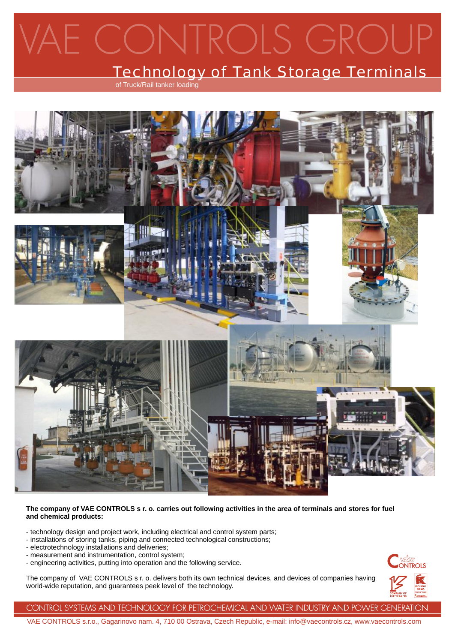## VTROLS GROU  $\Box($ )

### Technology of Tank Storage Terminals

of Truck/Rail tanker loading



#### The company of VAE CONTROLS s r. o. carries out following activities in the area of terminals and stores for fuel **and chemical products:**

- technology design and project work, including electrical and control system parts;
- installations of storing tanks, piping and connected technological constructions;
- electrotechnology installations and deliveries;
- measurement and instrumentation, control system;
- engineering activities, putting into operation and the following service.

The company of VAE CONTROLS s r. o. delivers both its own technical devices, and devices of companies having world-wide reputation, and guarantees peek level of the technology.



CONTROL SYSTEMS AND TECHNOLOGY FOR PETROCHEMICAL AND WATER INDUSTRY AND POWER GENERATION